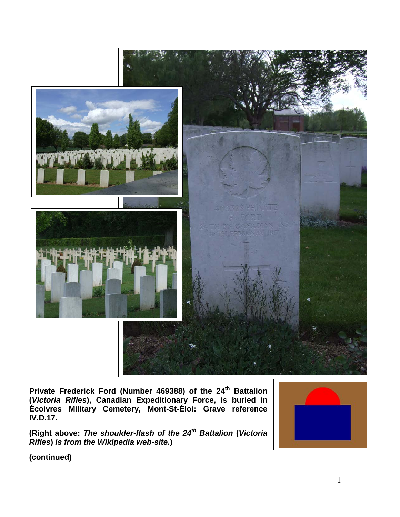

**Private Frederick Ford (Number 469388) of the 24th Battalion (***Victoria Rifles***), Canadian Expeditionary Force, is buried in Écoivres Military Cemetery, Mont-St-Éloi: Grave reference IV.D.17.**

**(Right above:** *The shoulder-flash of the 24th Battalion* **(***Victoria Rifles***)** *is from the Wikipedia web-site***.)**

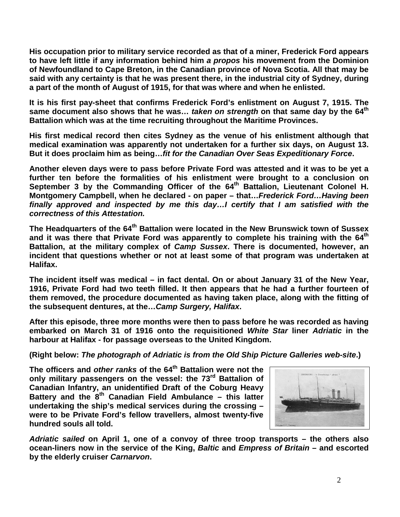**His occupation prior to military service recorded as that of a miner, Frederick Ford appears to have left little if any information behind him** *a propos* **his movement from the Dominion of Newfoundland to Cape Breton, in the Canadian province of Nova Scotia. All that may be said with any certainty is that he was present there, in the industrial city of Sydney, during a part of the month of August of 1915, for that was where and when he enlisted.**

**It is his first pay-sheet that confirms Frederick Ford's enlistment on August 7, 1915. The same document also shows that he was…** *taken on strength* **on that same day by the 64th Battalion which was at the time recruiting throughout the Maritime Provinces.**

**His first medical record then cites Sydney as the venue of his enlistment although that medical examination was apparently not undertaken for a further six days, on August 13. But it does proclaim him as being…***fit for the Canadian Over Seas Expeditionary Force***.**

**Another eleven days were to pass before Private Ford was attested and it was to be yet a further ten before the formalities of his enlistment were brought to a conclusion on September 3 by the Commanding Officer of the 64th Battalion, Lieutenant Colonel H. Montgomery Campbell, when he declared - on paper – that…***Frederick Ford…Having been finally approved and inspected by me this day…I certify that I am satisfied with the correctness of this Attestation.* 

**The Headquarters of the 64th Battalion were located in the New Brunswick town of Sussex and it was there that Private Ford was apparently to complete his training with the 64th Battalion, at the military complex of** *Camp Sussex***. There is documented, however, an incident that questions whether or not at least some of that program was undertaken at Halifax.**

**The incident itself was medical – in fact dental. On or about January 31 of the New Year, 1916, Private Ford had two teeth filled. It then appears that he had a further fourteen of them removed, the procedure documented as having taken place, along with the fitting of the subsequent dentures, at the…***Camp Surgery, Halifax***.**

**After this episode, three more months were then to pass before he was recorded as having embarked on March 31 of 1916 onto the requisitioned** *White Star* **liner** *Adriatic* **in the harbour at Halifax - for passage overseas to the United Kingdom.**

**(Right below:** *The photograph of Adriatic is from the Old Ship Picture Galleries web-site***.)**

The officers and *other ranks* of the 64<sup>th</sup> Battalion were not the **only military passengers on the vessel: the 73rd Battalion of Canadian Infantry, an unidentified Draft of the Coburg Heavy Battery and the 8th Canadian Field Ambulance – this latter undertaking the ship's medical services during the crossing – were to be Private Ford's fellow travellers, almost twenty-five hundred souls all told.** 



*Adriatic sailed* **on April 1, one of a convoy of three troop transports – the others also ocean-liners now in the service of the King,** *Baltic* **and** *Empress of Britain* **– and escorted by the elderly cruiser** *Carnarvon***.**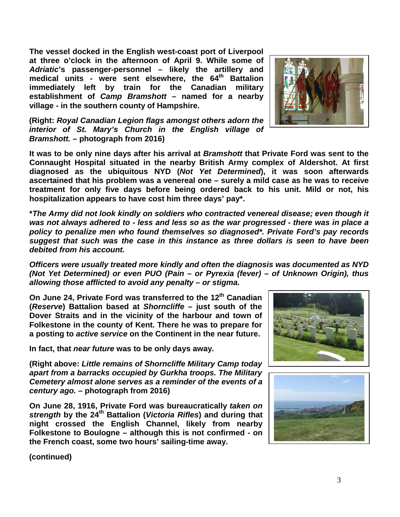**The vessel docked in the English west-coast port of Liverpool at three o'clock in the afternoon of April 9. While some of**  *Adriatic***'s passenger-personnel – likely the artillery and**  medical units - were sent elsewhere, the 64<sup>th</sup> Battalion **immediately left by train for the Canadian military establishment of** *Camp Bramshott* **– named for a nearby village - in the southern county of Hampshire.**

**(Right:** *Royal Canadian Legion flags amongst others adorn the interior of St. Mary's Church in the English village of Bramshott.* **– photograph from 2016)**

**It was to be only nine days after his arrival at** *Bramshott* **that Private Ford was sent to the Connaught Hospital situated in the nearby British Army complex of Aldershot. At first diagnosed as the ubiquitous NYD (***Not Yet Determined***), it was soon afterwards ascertained that his problem was a venereal one – surely a mild case as he was to receive treatment for only five days before being ordered back to his unit. Mild or not, his hospitalization appears to have cost him three days' pay\*.**

**\****The Army did not look kindly on soldiers who contracted venereal disease; even though it was not always adhered to - less and less so as the war progressed - there was in place a policy to penalize men who found themselves so diagnosed\*. Private Ford's pay records suggest that such was the case in this instance as three dollars is seen to have been debited from his account.*

*Officers were usually treated more kindly and often the diagnosis was documented as NYD (Not Yet Determined) or even PUO (Pain – or Pyrexia (fever) – of Unknown Origin), thus allowing those afflicted to avoid any penalty – or stigma.*

**On June 24, Private Ford was transferred to the 12th Canadian (***Reserve***) Battalion based at** *Shorncliffe* **– just south of the Dover Straits and in the vicinity of the harbour and town of Folkestone in the county of Kent. There he was to prepare for a posting to** *active service* **on the Continent in the near future.** 

**In fact, that** *near future* **was to be only days away.**

**(Right above:** *Little remains of Shorncliffe Military Camp today apart from a barracks occupied by Gurkha troops. The Military Cemetery almost alone serves as a reminder of the events of a century ago.* **– photograph from 2016)**

**On June 28, 1916, Private Ford was bureaucratically** *taken on strength* **by the 24th Battalion (***Victoria Rifles***) and during that night crossed the English Channel, likely from nearby Folkestone to Boulogne – although this is not confirmed - on the French coast, some two hours' sailing-time away.**





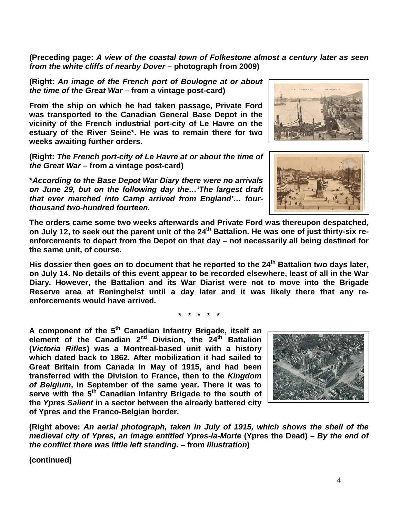**(Preceding page:** *A view of the coastal town of Folkestone almost a century later as seen from the white cliffs of nearby Dover* **– photograph from 2009)**

**(Right:** *An image of the French port of Boulogne at or about the time of the Great War* **– from a vintage post-card)**

**From the ship on which he had taken passage, Private Ford was transported to the Canadian General Base Depot in the vicinity of the French industrial port-city of Le Havre on the estuary of the River Seine\*. He was to remain there for two weeks awaiting further orders.**

**(Right:** *The French port-city of Le Havre at or about the time of the Great War* **– from a vintage post-card)**

**\****According to the Base Depot War Diary there were no arrivals on June 29, but on the following day the…'The largest draft that ever marched into Camp arrived from England'… fourthousand two-hundred fourteen.*

**The orders came some two weeks afterwards and Private Ford was thereupon despatched, on July 12, to seek out the parent unit of the 24th Battalion. He was one of just thirty-six reenforcements to depart from the Depot on that day – not necessarily all being destined for the same unit, of course.**

**His dossier then goes on to document that he reported to the 24th Battalion two days later, on July 14. No details of this event appear to be recorded elsewhere, least of all in the War Diary. However, the Battalion and its War Diarist were not to move into the Brigade Reserve area at Reninghelst until a day later and it was likely there that any reenforcements would have arrived.**

**\* \* \* \* \***

**A component of the 5th Canadian Infantry Brigade, itself an element of the Canadian 2nd Division, the 24th Battalion (***Victoria Rifles***) was a Montreal-based unit with a history which dated back to 1862. After mobilization it had sailed to Great Britain from Canada in May of 1915, and had been transferred with the Division to France, then to the** *Kingdom of Belgium***, in September of the same year. There it was to serve with the 5th Canadian Infantry Brigade to the south of the** *Ypres Salient* **in a sector between the already battered city of Ypres and the Franco-Belgian border.**

**(Right above:** *An aerial photograph, taken in July of 1915, which shows the shell of the medieval city of Ypres, an image entitled Ypres-la-Morte* **(Ypres the Dead)** *– By the end of the conflict there was little left standing.* **– from** *Illustration***)**







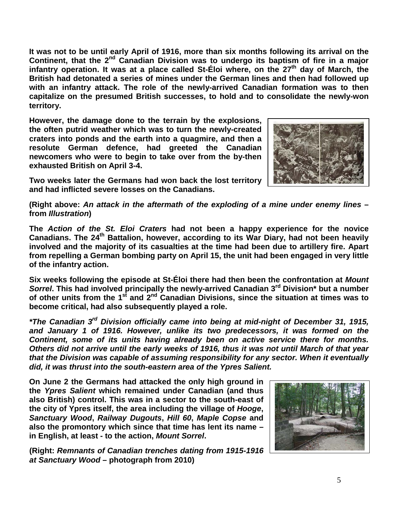**It was not to be until early April of 1916, more than six months following its arrival on the Continent, that the 2nd Canadian Division was to undergo its baptism of fire in a major**  infantry operation. It was at a place called St-Eloi where, on the 27<sup>th</sup> day of March, the **British had detonated a series of mines under the German lines and then had followed up with an infantry attack. The role of the newly-arrived Canadian formation was to then capitalize on the presumed British successes, to hold and to consolidate the newly-won territory.**

**However, the damage done to the terrain by the explosions, the often putrid weather which was to turn the newly-created craters into ponds and the earth into a quagmire, and then a resolute German defence, had greeted the Canadian newcomers who were to begin to take over from the by-then exhausted British on April 3-4.** 



**Two weeks later the Germans had won back the lost territory and had inflicted severe losses on the Canadians.**

**(Right above:** *An attack in the aftermath of the exploding of a mine under enemy lines* **– from** *Illustration***)**

**The** *Action of the St. Eloi Craters* **had not been a happy experience for the novice Canadians. The 24th Battalion, however, according to its War Diary, had not been heavily involved and the majority of its casualties at the time had been due to artillery fire. Apart from repelling a German bombing party on April 15, the unit had been engaged in very little of the infantry action.**

**Six weeks following the episode at St-Éloi there had then been the confrontation at** *Mount Sorrel***. This had involved principally the newly-arrived Canadian 3rd Division\* but a number of other units from the 1st and 2nd Canadian Divisions, since the situation at times was to become critical, had also subsequently played a role.**

*\*The Canadian 3rd Division officially came into being at mid-night of December 31, 1915, and January 1 of 1916. However, unlike its two predecessors, it was formed on the Continent, some of its units having already been on active service there for months. Others did not arrive until the early weeks of 1916, thus it was not until March of that year that the Division was capable of assuming responsibility for any sector. When it eventually did, it was thrust into the south-eastern area of the Ypres Salient.*

**On June 2 the Germans had attacked the only high ground in the** *Ypres Salient* **which remained under Canadian (and thus also British) control. This was in a sector to the south-east of the city of Ypres itself, the area including the village of** *Hooge***,**  *Sanctuary Wood***,** *Railway Dugouts***,** *Hill 60***,** *Maple Copse* **and also the promontory which since that time has lent its name – in English, at least - to the action,** *Mount Sorrel***.**

**(Right:** *Remnants of Canadian trenches dating from 1915-1916 at Sanctuary Wood* **– photograph from 2010)**

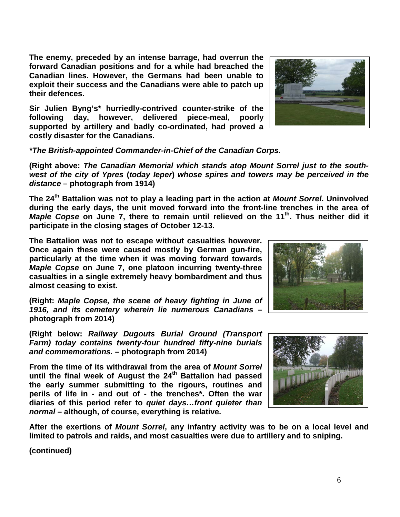**The enemy, preceded by an intense barrage, had overrun the forward Canadian positions and for a while had breached the Canadian lines. However, the Germans had been unable to exploit their success and the Canadians were able to patch up their defences.**

**Sir Julien Byng's\* hurriedly-contrived counter-strike of the following day, however, delivered piece-meal, poorly supported by artillery and badly co-ordinated, had proved a costly disaster for the Canadians.**

*\*The British-appointed Commander-in-Chief of the Canadian Corps.*

**(Right above:** *The Canadian Memorial which stands atop Mount Sorrel just to the southwest of the city of Ypres* **(***today Ieper***)** *whose spires and towers may be perceived in the distance* **– photograph from 1914)**

**The 24th Battalion was not to play a leading part in the action at** *Mount Sorrel***. Uninvolved during the early days, the unit moved forward into the front-line trenches in the area of**  *Maple Copse* on June 7, there to remain until relieved on the 11<sup>th</sup>. Thus neither did it **participate in the closing stages of October 12-13.**

**The Battalion was not to escape without casualties however. Once again these were caused mostly by German gun-fire, particularly at the time when it was moving forward towards**  *Maple Copse* **on June 7, one platoon incurring twenty-three casualties in a single extremely heavy bombardment and thus almost ceasing to exist.**

**(Right:** *Maple Copse, the scene of heavy fighting in June of 1916, and its cemetery wherein lie numerous Canadians* **– photograph from 2014)**

**(Right below:** *Railway Dugouts Burial Ground (Transport Farm) today contains twenty-four hundred fifty-nine burials and commemorations.* **– photograph from 2014)**

**From the time of its withdrawal from the area of** *Mount Sorrel* **until the final week of August the 24th Battalion had passed the early summer submitting to the rigours, routines and perils of life in - and out of - the trenches\*. Often the war diaries of this period refer to** *quiet days…front quieter than normal* **– although, of course, everything is relative.** 

**After the exertions of** *Mount Sorrel***, any infantry activity was to be on a local level and limited to patrols and raids, and most casualties were due to artillery and to sniping.**





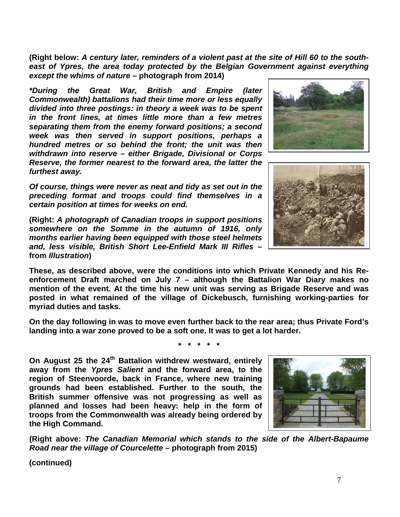7

**(Right below:** *A century later, reminders of a violent past at the site of Hill 60 to the south*east of Ypres, the area today protected by the Belgian Government against everything *except the whims of nature* **– photograph from 2014)**

*\*During the Great War, British and Empire (later Commonwealth) battalions had their time more or less equally divided into three postings: in theory a week was to be spent in the front lines, at times little more than a few metres separating them from the enemy forward positions; a second week was then served in support positions, perhaps a hundred metres or so behind the front; the unit was then withdrawn into reserve – either Brigade, Divisional or Corps Reserve, the former nearest to the forward area, the latter the furthest away.* 

*Of course, things were never as neat and tidy as set out in the preceding format and troops could find themselves in a certain position at times for weeks on end.*

**(Right:** *A photograph of Canadian troops in support positions somewhere on the Somme in the autumn of 1916, only months earlier having been equipped with those steel helmets and, less visible, British Short Lee-Enfield Mark III Rifles* **– from** *Illustration***)**

**These, as described above, were the conditions into which Private Kennedy and his Reenforcement Draft marched on July 7 – although the Battalion War Diary makes no mention of the event. At the time his new unit was serving as Brigade Reserve and was posted in what remained of the village of Dickebusch, furnishing working-parties for myriad duties and tasks.** 

**On the day following in was to move even further back to the rear area; thus Private Ford's landing into a war zone proved to be a soft one. It was to get a lot harder.**

**\* \* \* \* \***

**On August 25 the 24th Battalion withdrew westward, entirely away from the** *Ypres Salient* **and the forward area, to the region of Steenvoorde, back in France, where new training grounds had been established. Further to the south, the British summer offensive was not progressing as well as planned and losses had been heavy: help in the form of troops from the Commonwealth was already being ordered by the High Command.**

**(Right above:** *The Canadian Memorial which stands to the side of the Albert-Bapaume Road near the village of Courcelette* **– photograph from 2015)**





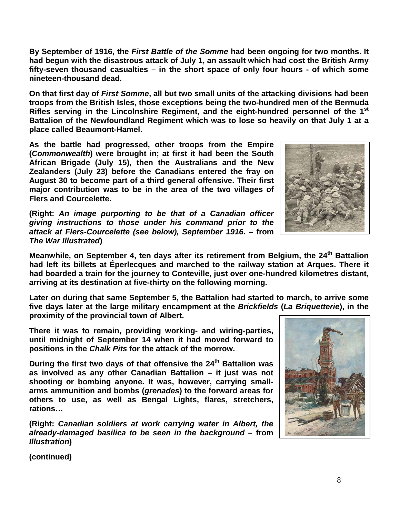8

**By September of 1916, the** *First Battle of the Somme* **had been ongoing for two months. It had begun with the disastrous attack of July 1, an assault which had cost the British Army fifty-seven thousand casualties – in the short space of only four hours - of which some nineteen-thousand dead.** 

**On that first day of** *First Somme***, all but two small units of the attacking divisions had been troops from the British Isles, those exceptions being the two-hundred men of the Bermuda Rifles serving in the Lincolnshire Regiment, and the eight-hundred personnel of the 1st Battalion of the Newfoundland Regiment which was to lose so heavily on that July 1 at a place called Beaumont-Hamel.**

**As the battle had progressed, other troops from the Empire (***Commonwealth***) were brought in; at first it had been the South African Brigade (July 15), then the Australians and the New Zealanders (July 23) before the Canadians entered the fray on August 30 to become part of a third general offensive. Their first major contribution was to be in the area of the two villages of Flers and Courcelette.**

**(Right:** *An image purporting to be that of a Canadian officer giving instructions to those under his command prior to the attack at Flers-Courcelette (see below), September 1916***. – from**  *The War Illustrated***)**

Meanwhile, on September 4, ten days after its retirement from Belgium, the 24<sup>th</sup> Battalion **had left its billets at Éperlecques and marched to the railway station at Arques. There it had boarded a train for the journey to Conteville, just over one-hundred kilometres distant, arriving at its destination at five-thirty on the following morning.**

**Later on during that same September 5, the Battalion had started to march, to arrive some five days later at the large military encampment at the** *Brickfields* **(***La Briquetterie***), in the proximity of the provincial town of Albert.**

**There it was to remain, providing working- and wiring-parties, until midnight of September 14 when it had moved forward to positions in the** *Chalk Pits* **for the attack of the morrow.**

During the first two days of that offensive the 24<sup>th</sup> Battalion was **as involved as any other Canadian Battalion – it just was not shooting or bombing anyone. It was, however, carrying smallarms ammunition and bombs (***grenades***) to the forward areas for others to use, as well as Bengal Lights, flares, stretchers, rations…**

**(Right:** *Canadian soldiers at work carrying water in Albert, the already-damaged basilica to be seen in the background* **– from**  *Illustration***)**



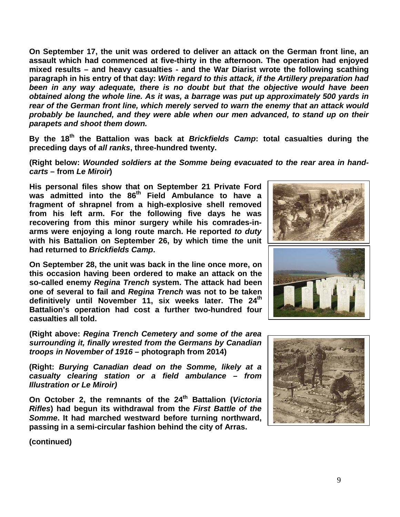**On September 17, the unit was ordered to deliver an attack on the German front line, an assault which had commenced at five-thirty in the afternoon. The operation had enjoyed mixed results – and heavy casualties - and the War Diarist wrote the following scathing paragraph in his entry of that day:** *With regard to this attack, if the Artillery preparation had been in any way adequate, there is no doubt but that the objective would have been obtained along the whole line. As it was, a barrage was put up approximately 500 yards in rear of the German front line, which merely served to warn the enemy that an attack would probably be launched, and they were able when our men advanced, to stand up on their parapets and shoot them down.* 

**By the 18th the Battalion was back at** *Brickfields Camp***: total casualties during the preceding days of** *all ranks***, three-hundred twenty.**

**(Right below:** *Wounded soldiers at the Somme being evacuated to the rear area in handcarts* **– from** *Le Miroir***)**

**His personal files show that on September 21 Private Ford was admitted into the 86th Field Ambulance to have a fragment of shrapnel from a high-explosive shell removed from his left arm. For the following five days he was recovering from this minor surgery while his comrades-inarms were enjoying a long route march. He reported** *to duty* **with his Battalion on September 26, by which time the unit had returned to** *Brickfields Camp***.**

**On September 28, the unit was back in the line once more, on this occasion having been ordered to make an attack on the so-called enemy** *Regina Trench* **system. The attack had been one of several to fail and** *Regina Trench* **was not to be taken definitively until November 11, six weeks later. The 24th Battalion's operation had cost a further two-hundred four casualties all told.**

**(Right above:** *Regina Trench Cemetery and some of the area surrounding it, finally wrested from the Germans by Canadian troops in November of 1916* **– photograph from 2014)**

**(Right:** *Burying Canadian dead on the Somme, likely at a casualty clearing station or a field ambulance – from Illustration or Le Miroir)*

**On October 2, the remnants of the 24th Battalion (***Victoria Rifles***) had begun its withdrawal from the** *First Battle of the Somme***. It had marched westward before turning northward, passing in a semi-circular fashion behind the city of Arras.** 



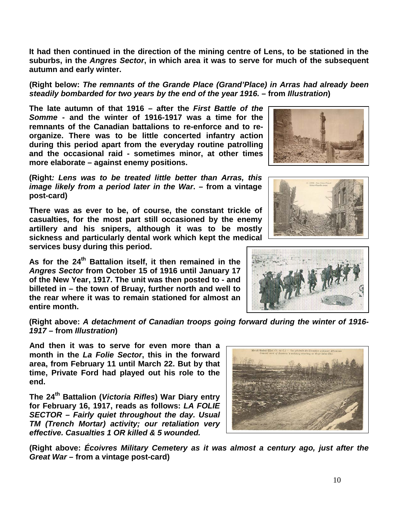**suburbs, in the** *Angres Sector***, in which area it was to serve for much of the subsequent autumn and early winter.**

**(Right below:** *The remnants of the Grande Place (Grand'Place) in Arras had already been steadily bombarded for two years by the end of the year 1916.* **– from** *Illustration***)**

**It had then continued in the direction of the mining centre of Lens, to be stationed in the** 

**The late autumn of that 1916 – after the** *First Battle of the Somme* **- and the winter of 1916-1917 was a time for the remnants of the Canadian battalions to re-enforce and to reorganize. There was to be little concerted infantry action during this period apart from the everyday routine patrolling and the occasional raid - sometimes minor, at other times more elaborate – against enemy positions.**

**(Right***: Lens was to be treated little better than Arras, this image likely from a period later in the War***. – from a vintage post-card)**

**There was as ever to be, of course, the constant trickle of casualties, for the most part still occasioned by the enemy artillery and his snipers, although it was to be mostly sickness and particularly dental work which kept the medical services busy during this period.**

**As for the 24th Battalion itself, it then remained in the**  *Angres Sector* **from October 15 of 1916 until January 17 of the New Year, 1917. The unit was then posted to - and billeted in – the town of Bruay, further north and well to the rear where it was to remain stationed for almost an entire month.**

**(Right above:** *A detachment of Canadian troops going forward during the winter of 1916- 1917* **– from** *Illustration***)**

**And then it was to serve for even more than a month in the** *La Folie Sector***, this in the forward area, from February 11 until March 22. But by that time, Private Ford had played out his role to the end.**

**The 24th Battalion (***Victoria Rifles***) War Diary entry for February 16, 1917, reads as follows:** *LA FOLIE SECTOR – Fairly quiet throughout the day. Usual TM (Trench Mortar) activity; our retaliation very effective. Casualties 1 OR killed & 5 wounded.*

**(Right above:** *Écoivres Military Cemetery as it was almost a century ago, just after the Great War* **– from a vintage post-card)**